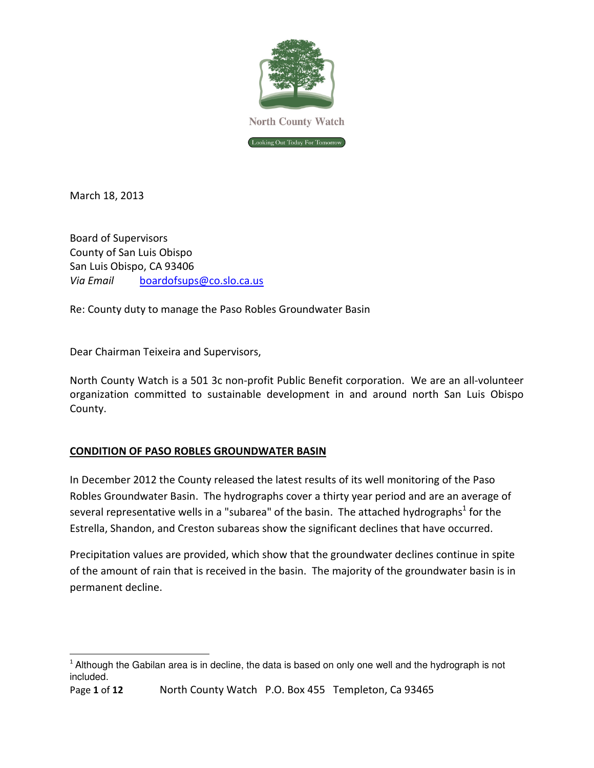

March 18, 2013

l

Board of Supervisors County of San Luis Obispo San Luis Obispo, CA 93406 Via Email boardofsups@co.slo.ca.us

Re: County duty to manage the Paso Robles Groundwater Basin

Dear Chairman Teixeira and Supervisors,

North County Watch is a 501 3c non-profit Public Benefit corporation. We are an all-volunteer organization committed to sustainable development in and around north San Luis Obispo County.

## CONDITION OF PASO ROBLES GROUNDWATER BASIN

In December 2012 the County released the latest results of its well monitoring of the Paso Robles Groundwater Basin. The hydrographs cover a thirty year period and are an average of several representative wells in a "subarea" of the basin. The attached hydrographs<sup>1</sup> for the Estrella, Shandon, and Creston subareas show the significant declines that have occurred.

Precipitation values are provided, which show that the groundwater declines continue in spite of the amount of rain that is received in the basin. The majority of the groundwater basin is in permanent decline.

 $1$  Although the Gabilan area is in decline, the data is based on only one well and the hydrograph is not included.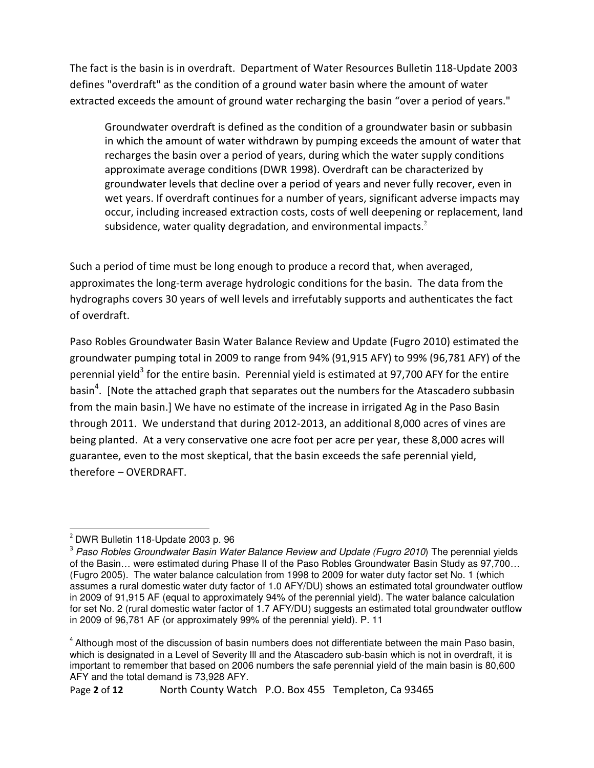The fact is the basin is in overdraft. Department of Water Resources Bulletin 118-Update 2003 defines "overdraft" as the condition of a ground water basin where the amount of water extracted exceeds the amount of ground water recharging the basin "over a period of years."

Groundwater overdraft is defined as the condition of a groundwater basin or subbasin in which the amount of water withdrawn by pumping exceeds the amount of water that recharges the basin over a period of years, during which the water supply conditions approximate average conditions (DWR 1998). Overdraft can be characterized by groundwater levels that decline over a period of years and never fully recover, even in wet years. If overdraft continues for a number of years, significant adverse impacts may occur, including increased extraction costs, costs of well deepening or replacement, land subsidence, water quality degradation, and environmental impacts. $2$ 

Such a period of time must be long enough to produce a record that, when averaged, approximates the long-term average hydrologic conditions for the basin. The data from the hydrographs covers 30 years of well levels and irrefutably supports and authenticates the fact of overdraft.

Paso Robles Groundwater Basin Water Balance Review and Update (Fugro 2010) estimated the groundwater pumping total in 2009 to range from 94% (91,915 AFY) to 99% (96,781 AFY) of the perennial yield<sup>3</sup> for the entire basin. Perennial yield is estimated at 97,700 AFY for the entire basin<sup>4</sup>. [Note the attached graph that separates out the numbers for the Atascadero subbasin from the main basin.] We have no estimate of the increase in irrigated Ag in the Paso Basin through 2011. We understand that during 2012-2013, an additional 8,000 acres of vines are being planted. At a very conservative one acre foot per acre per year, these 8,000 acres will guarantee, even to the most skeptical, that the basin exceeds the safe perennial yield, therefore – OVERDRAFT.

l <sup>2</sup> DWR Bulletin 118-Update 2003 p. 96

<sup>&</sup>lt;sup>3</sup> Paso Robles Groundwater Basin Water Balance Review and Update (Fugro 2010) The perennial yields of the Basin… were estimated during Phase II of the Paso Robles Groundwater Basin Study as 97,700… (Fugro 2005). The water balance calculation from 1998 to 2009 for water duty factor set No. 1 (which assumes a rural domestic water duty factor of 1.0 AFY/DU) shows an estimated total groundwater outflow in 2009 of 91,915 AF (equal to approximately 94% of the perennial yield). The water balance calculation for set No. 2 (rural domestic water factor of 1.7 AFY/DU) suggests an estimated total groundwater outflow in 2009 of 96,781 AF (or approximately 99% of the perennial yield). P. 11

<sup>&</sup>lt;sup>4</sup> Although most of the discussion of basin numbers does not differentiate between the main Paso basin, which is designated in a Level of Severity III and the Atascadero sub-basin which is not in overdraft, it is important to remember that based on 2006 numbers the safe perennial yield of the main basin is 80,600 AFY and the total demand is 73,928 AFY.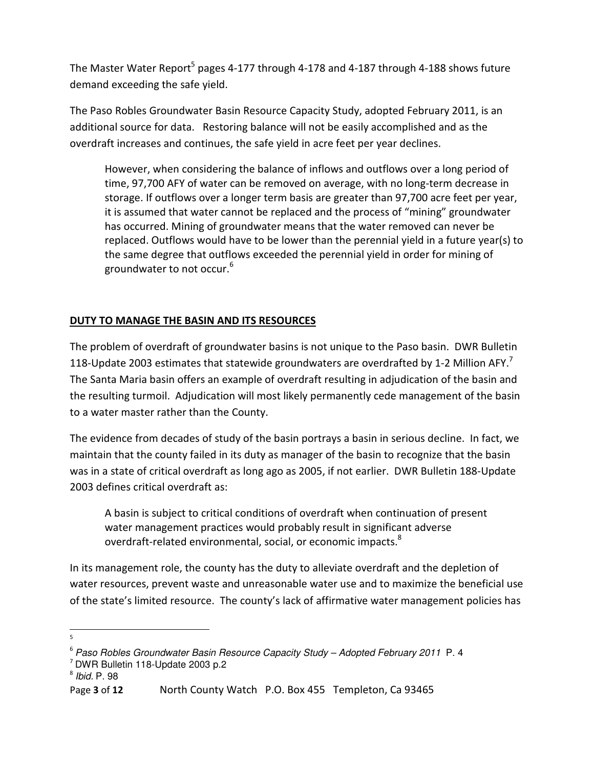The Master Water Report<sup>5</sup> pages 4-177 through 4-178 and 4-187 through 4-188 shows future demand exceeding the safe yield.

The Paso Robles Groundwater Basin Resource Capacity Study, adopted February 2011, is an additional source for data. Restoring balance will not be easily accomplished and as the overdraft increases and continues, the safe yield in acre feet per year declines.

However, when considering the balance of inflows and outflows over a long period of time, 97,700 AFY of water can be removed on average, with no long-term decrease in storage. If outflows over a longer term basis are greater than 97,700 acre feet per year, it is assumed that water cannot be replaced and the process of "mining" groundwater has occurred. Mining of groundwater means that the water removed can never be replaced. Outflows would have to be lower than the perennial yield in a future year(s) to the same degree that outflows exceeded the perennial yield in order for mining of groundwater to not occur.<sup>6</sup>

## DUTY TO MANAGE THE BASIN AND ITS RESOURCES

The problem of overdraft of groundwater basins is not unique to the Paso basin. DWR Bulletin 118-Update 2003 estimates that statewide groundwaters are overdrafted by 1-2 Million AFY.<sup>7</sup> The Santa Maria basin offers an example of overdraft resulting in adjudication of the basin and the resulting turmoil. Adjudication will most likely permanently cede management of the basin to a water master rather than the County.

The evidence from decades of study of the basin portrays a basin in serious decline. In fact, we maintain that the county failed in its duty as manager of the basin to recognize that the basin was in a state of critical overdraft as long ago as 2005, if not earlier. DWR Bulletin 188-Update 2003 defines critical overdraft as:

 A basin is subject to critical conditions of overdraft when continuation of present water management practices would probably result in significant adverse overdraft-related environmental, social, or economic impacts.<sup>8</sup>

In its management role, the county has the duty to alleviate overdraft and the depletion of water resources, prevent waste and unreasonable water use and to maximize the beneficial use of the state's limited resource. The county's lack of affirmative water management policies has

 5

<sup>。&</sup>lt;br><sup>6</sup> Paso Robles Groundwater Basin Resource Capacity Study – Adopted February 2011 P. 4

 $7$  DWR Bulletin 118-Update 2003 p.2

<sup>8</sup> Ibid. P. 98

Page 3 of 12 North County Watch P.O. Box 455 Templeton, Ca 93465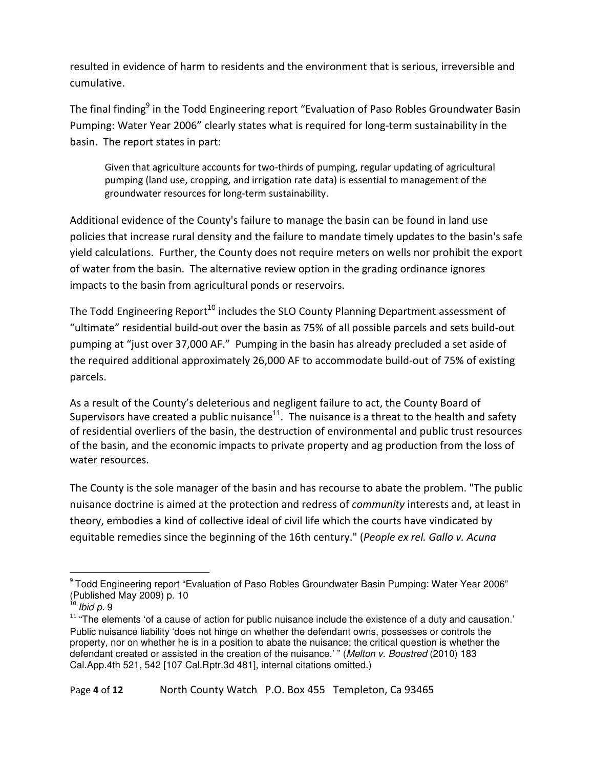resulted in evidence of harm to residents and the environment that is serious, irreversible and cumulative.

The final finding<sup>9</sup> in the Todd Engineering report "Evaluation of Paso Robles Groundwater Basin Pumping: Water Year 2006" clearly states what is required for long-term sustainability in the basin. The report states in part:

Given that agriculture accounts for two-thirds of pumping, regular updating of agricultural pumping (land use, cropping, and irrigation rate data) is essential to management of the groundwater resources for long-term sustainability.

Additional evidence of the County's failure to manage the basin can be found in land use policies that increase rural density and the failure to mandate timely updates to the basin's safe yield calculations. Further, the County does not require meters on wells nor prohibit the export of water from the basin. The alternative review option in the grading ordinance ignores impacts to the basin from agricultural ponds or reservoirs.

The Todd Engineering Report<sup>10</sup> includes the SLO County Planning Department assessment of "ultimate" residential build-out over the basin as 75% of all possible parcels and sets build-out pumping at "just over 37,000 AF." Pumping in the basin has already precluded a set aside of the required additional approximately 26,000 AF to accommodate build-out of 75% of existing parcels.

As a result of the County's deleterious and negligent failure to act, the County Board of Supervisors have created a public nuisance<sup>11</sup>. The nuisance is a threat to the health and safety of residential overliers of the basin, the destruction of environmental and public trust resources of the basin, and the economic impacts to private property and ag production from the loss of water resources.

The County is the sole manager of the basin and has recourse to abate the problem. "The public nuisance doctrine is aimed at the protection and redress of community interests and, at least in theory, embodies a kind of collective ideal of civil life which the courts have vindicated by equitable remedies since the beginning of the 16th century." (People ex rel. Gallo v. Acuna

l

<sup>&</sup>lt;sup>9</sup> Todd Engineering report "Evaluation of Paso Robles Groundwater Basin Pumping: Water Year 2006" (Published May 2009) p. 10

 $^{\circ}$  Ibid p. 9

 $11$  "The elements 'of a cause of action for public nuisance include the existence of a duty and causation.' Public nuisance liability 'does not hinge on whether the defendant owns, possesses or controls the property, nor on whether he is in a position to abate the nuisance; the critical question is whether the defendant created or assisted in the creation of the nuisance.' " (Melton v. Boustred (2010) 183 Cal.App.4th 521, 542 [107 Cal.Rptr.3d 481], internal citations omitted.)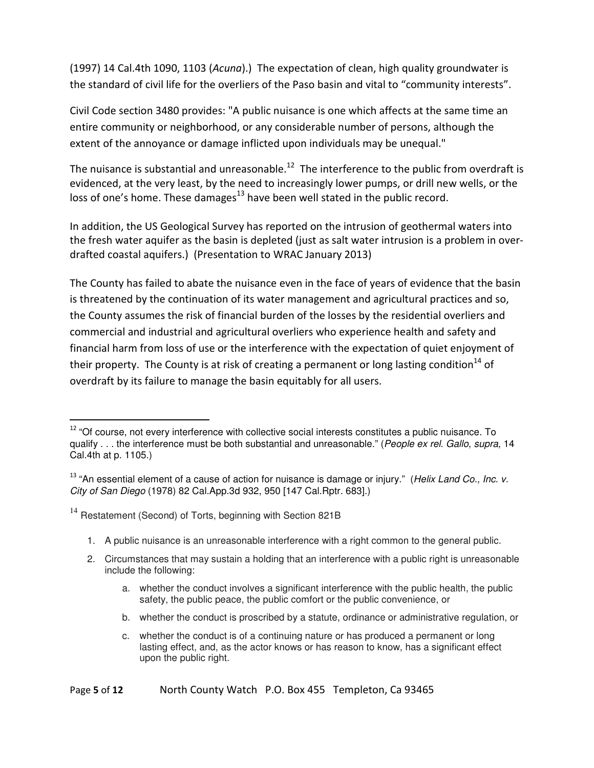(1997) 14 Cal.4th 1090, 1103 (Acuna).) The expectation of clean, high quality groundwater is the standard of civil life for the overliers of the Paso basin and vital to "community interests".

Civil Code section 3480 provides: "A public nuisance is one which affects at the same time an entire community or neighborhood, or any considerable number of persons, although the extent of the annoyance or damage inflicted upon individuals may be unequal."

The nuisance is substantial and unreasonable.<sup>12</sup> The interference to the public from overdraft is evidenced, at the very least, by the need to increasingly lower pumps, or drill new wells, or the loss of one's home. These damages $^{13}$  have been well stated in the public record.

In addition, the US Geological Survey has reported on the intrusion of geothermal waters into the fresh water aquifer as the basin is depleted (just as salt water intrusion is a problem in overdrafted coastal aquifers.) (Presentation to WRAC January 2013)

The County has failed to abate the nuisance even in the face of years of evidence that the basin is threatened by the continuation of its water management and agricultural practices and so, the County assumes the risk of financial burden of the losses by the residential overliers and commercial and industrial and agricultural overliers who experience health and safety and financial harm from loss of use or the interference with the expectation of quiet enjoyment of their property. The County is at risk of creating a permanent or long lasting condition<sup>14</sup> of overdraft by its failure to manage the basin equitably for all users.

<sup>14</sup> Restatement (Second) of Torts, beginning with Section 821B

- 1. A public nuisance is an unreasonable interference with a right common to the general public.
- 2. Circumstances that may sustain a holding that an interference with a public right is unreasonable include the following:
	- a. whether the conduct involves a significant interference with the public health, the public safety, the public peace, the public comfort or the public convenience, or
	- b. whether the conduct is proscribed by a statute, ordinance or administrative regulation, or
	- c. whether the conduct is of a continuing nature or has produced a permanent or long lasting effect, and, as the actor knows or has reason to know, has a significant effect upon the public right.

<sup>&</sup>lt;sup>12</sup> "Of course, not every interference with collective social interests constitutes a public nuisance. To qualify . . . the interference must be both substantial and unreasonable." (People ex rel. Gallo, supra, 14 Cal.4th at p. 1105.)

 $13$  "An essential element of a cause of action for nuisance is damage or injury." (Helix Land Co., Inc. v. City of San Diego (1978) 82 Cal.App.3d 932, 950 [147 Cal.Rptr. 683].)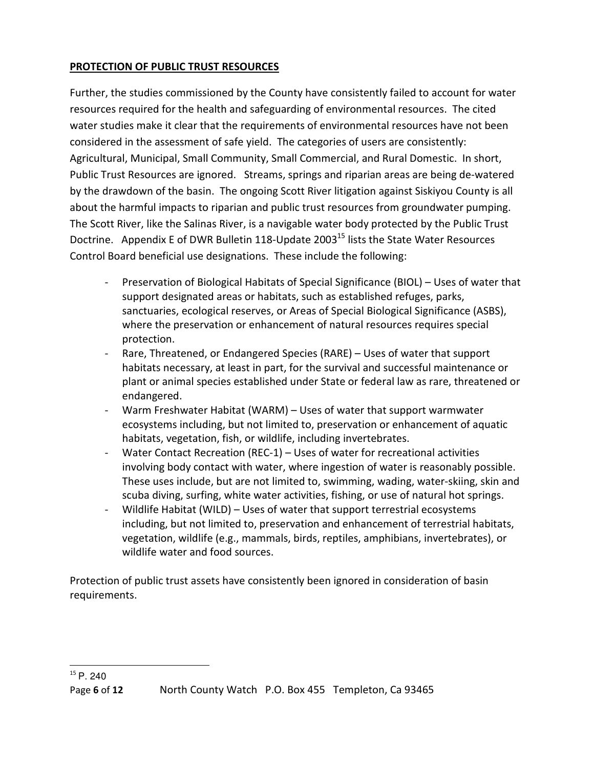## PROTECTION OF PUBLIC TRUST RESOURCES

Further, the studies commissioned by the County have consistently failed to account for water resources required for the health and safeguarding of environmental resources. The cited water studies make it clear that the requirements of environmental resources have not been considered in the assessment of safe yield. The categories of users are consistently: Agricultural, Municipal, Small Community, Small Commercial, and Rural Domestic. In short, Public Trust Resources are ignored. Streams, springs and riparian areas are being de-watered by the drawdown of the basin. The ongoing Scott River litigation against Siskiyou County is all about the harmful impacts to riparian and public trust resources from groundwater pumping. The Scott River, like the Salinas River, is a navigable water body protected by the Public Trust Doctrine. Appendix E of DWR Bulletin 118-Update 2003<sup>15</sup> lists the State Water Resources Control Board beneficial use designations. These include the following:

- Preservation of Biological Habitats of Special Significance (BIOL) Uses of water that support designated areas or habitats, such as established refuges, parks, sanctuaries, ecological reserves, or Areas of Special Biological Significance (ASBS), where the preservation or enhancement of natural resources requires special protection.
- Rare, Threatened, or Endangered Species (RARE) Uses of water that support habitats necessary, at least in part, for the survival and successful maintenance or plant or animal species established under State or federal law as rare, threatened or endangered.
- Warm Freshwater Habitat (WARM) Uses of water that support warmwater ecosystems including, but not limited to, preservation or enhancement of aquatic habitats, vegetation, fish, or wildlife, including invertebrates.
- Water Contact Recreation (REC-1) Uses of water for recreational activities involving body contact with water, where ingestion of water is reasonably possible. These uses include, but are not limited to, swimming, wading, water-skiing, skin and scuba diving, surfing, white water activities, fishing, or use of natural hot springs.
- Wildlife Habitat (WILD) Uses of water that support terrestrial ecosystems including, but not limited to, preservation and enhancement of terrestrial habitats, vegetation, wildlife (e.g., mammals, birds, reptiles, amphibians, invertebrates), or wildlife water and food sources.

Protection of public trust assets have consistently been ignored in consideration of basin requirements.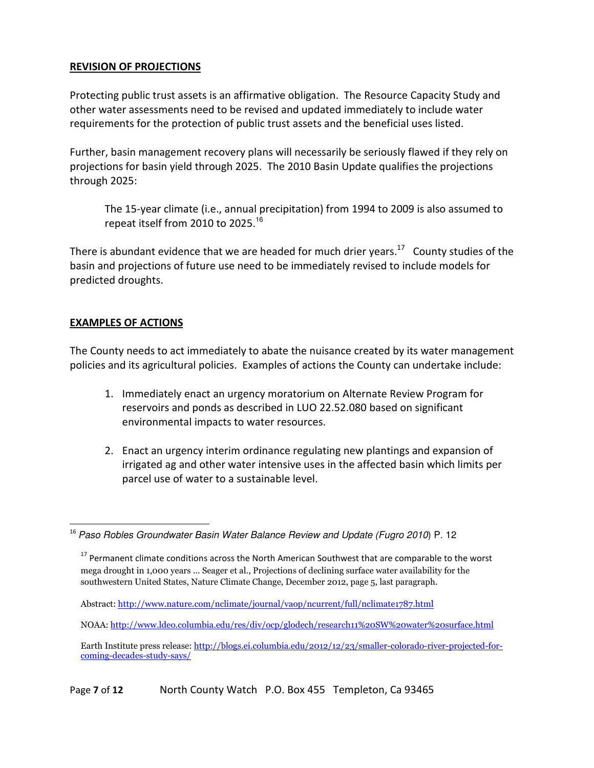## REVISION OF PROJECTIONS

Protecting public trust assets is an affirmative obligation. The Resource Capacity Study and other water assessments need to be revised and updated immediately to include water requirements for the protection of public trust assets and the beneficial uses listed.

Further, basin management recovery plans will necessarily be seriously flawed if they rely on projections for basin yield through 2025. The 2010 Basin Update qualifies the projections through 2025:

The 15-year climate (i.e., annual precipitation) from 1994 to 2009 is also assumed to repeat itself from 2010 to 2025. 16

There is abundant evidence that we are headed for much drier years.<sup>17</sup> County studies of the basin and projections of future use need to be immediately revised to include models for predicted droughts.

## EXAMPLES OF ACTIONS

The County needs to act immediately to abate the nuisance created by its water management policies and its agricultural policies. Examples of actions the County can undertake include:

- 1. Immediately enact an urgency moratorium on Alternate Review Program for reservoirs and ponds as described in LUO 22.52.080 based on significant environmental impacts to water resources.
- 2. Enact an urgency interim ordinance regulating new plantings and expansion of irrigated ag and other water intensive uses in the affected basin which limits per parcel use of water to a sustainable level.

l <sup>16</sup> Paso Robles Groundwater Basin Water Balance Review and Update (Fugro 2010) P. 12

<sup>&</sup>lt;sup>17</sup> Permanent climate conditions across the North American Southwest that are comparable to the worst mega drought in 1,000 years ... Seager et al., Projections of declining surface water availability for the southwestern United States, Nature Climate Change, December 2012, page 5, last paragraph.

Abstract: http://www.nature.com/nclimate/journal/vaop/ncurrent/full/nclimate1787.html

NOAA: http://www.ldeo.columbia.edu/res/div/ocp/glodech/research11%20SW%20water%20surface.html

Earth Institute press release: http://blogs.ei.columbia.edu/2012/12/23/smaller-colorado-river-projected-forcoming-decades-study-says/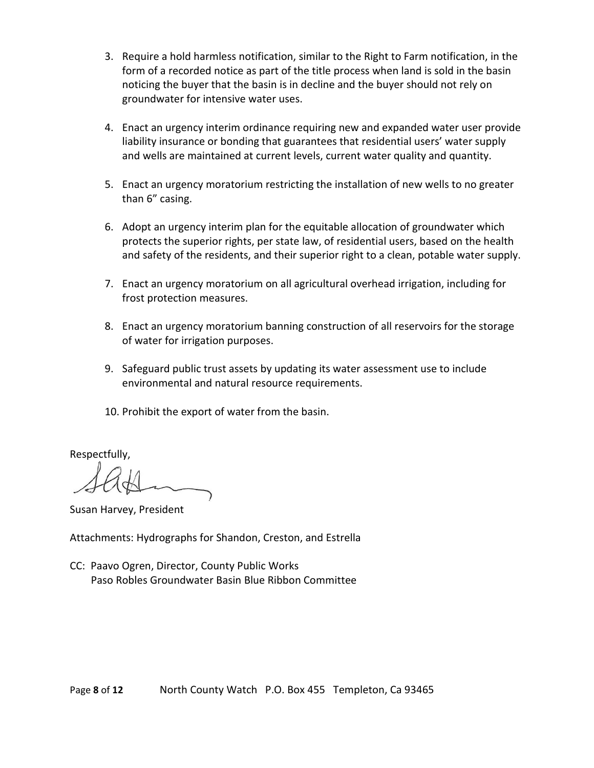- 3. Require a hold harmless notification, similar to the Right to Farm notification, in the form of a recorded notice as part of the title process when land is sold in the basin noticing the buyer that the basin is in decline and the buyer should not rely on groundwater for intensive water uses.
- 4. Enact an urgency interim ordinance requiring new and expanded water user provide liability insurance or bonding that guarantees that residential users' water supply and wells are maintained at current levels, current water quality and quantity.
- 5. Enact an urgency moratorium restricting the installation of new wells to no greater than 6" casing.
- 6. Adopt an urgency interim plan for the equitable allocation of groundwater which protects the superior rights, per state law, of residential users, based on the health and safety of the residents, and their superior right to a clean, potable water supply.
- 7. Enact an urgency moratorium on all agricultural overhead irrigation, including for frost protection measures.
- 8. Enact an urgency moratorium banning construction of all reservoirs for the storage of water for irrigation purposes.
- 9. Safeguard public trust assets by updating its water assessment use to include environmental and natural resource requirements.
- 10. Prohibit the export of water from the basin.

Respectfully,

Susan Harvey, President

Attachments: Hydrographs for Shandon, Creston, and Estrella

CC: Paavo Ogren, Director, County Public Works Paso Robles Groundwater Basin Blue Ribbon Committee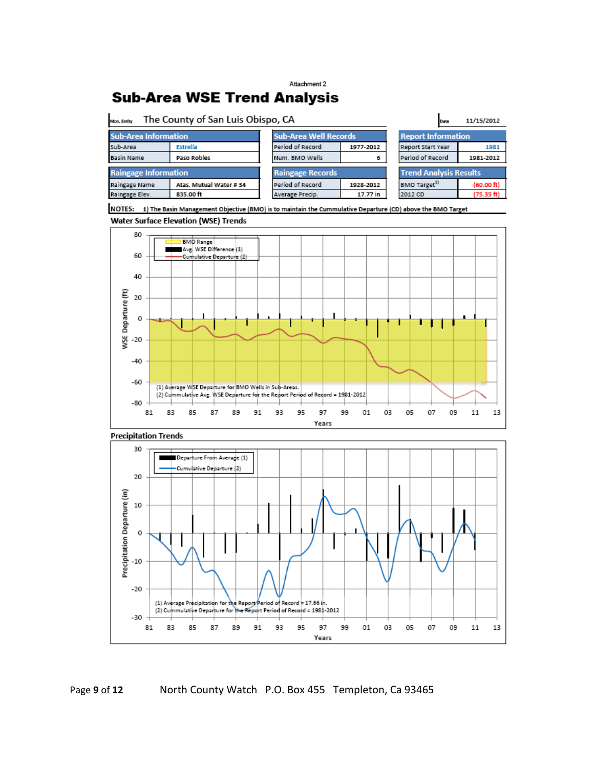#### Attachment 2

# **Sub-Area WSE Trend Analysis**

| The County of San Luis Obispo, CA<br>Mon. Entity |                         |                              |           | Date                          | 11/15/2012 |  |
|--------------------------------------------------|-------------------------|------------------------------|-----------|-------------------------------|------------|--|
| <b>Sub-Area Information</b>                      |                         | <b>Sub-Area Well Records</b> |           | <b>Report Information</b>     |            |  |
| Sub-Area                                         | Estrella                | Period of Record             | 1977-2012 | Report Start Year             | 1981       |  |
| <b>Basin Name</b>                                | Paso Robles             | Num. BMO Wells               | 6         | Period of Record              | 1981-2012  |  |
| <b>Raingage Information</b>                      |                         | <b>Raingage Records</b>      |           | <b>Trend Analysis Results</b> |            |  |
| Raingage Name                                    | Atas. Mutual Water # 34 | Period of Record             | 1928-2012 | BMO Target <sup>37</sup>      | (60.00 ft) |  |
| Raingage Elev.                                   | 835.00 ft               | Average Precip.              | 17.77 in  | 2012 CD                       | (75.35 ft) |  |
|                                                  |                         |                              |           |                               |            |  |

NOTES: 1) The Basin Management Objective (BMO) is to maintain the Cummulative Departure (CD) above the BMO Target Water Surface Elevation (WSE) Trends





### Page 9 of 12 North County Watch P.O. Box 455 Templeton, Ca 93465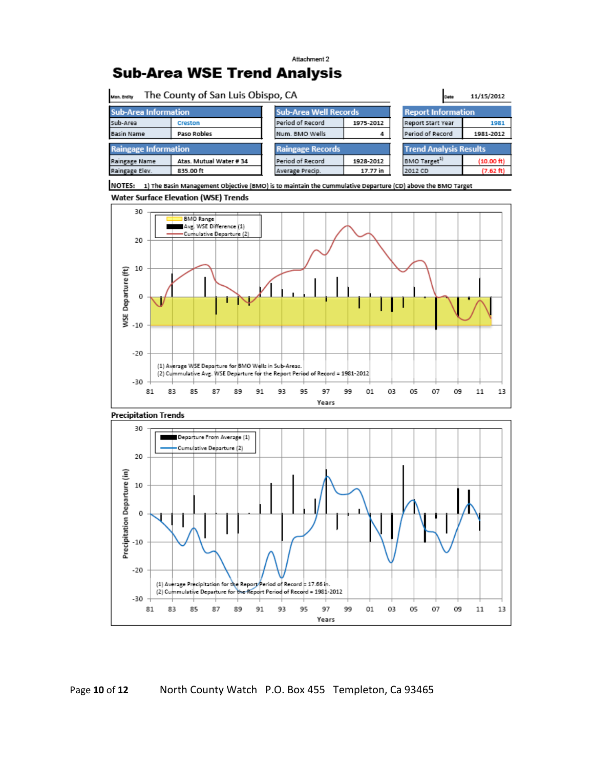## Attachment 2 **Sub-Area WSE Trend Analysis**



NOTES: 1) The Basin Management Objective (BMO) is to maintain the Cummulative Departure (CD) above the BMO Target Water Surface Elevation (WSE) Trends



Precipitation Departure (in) 0  $-10$  $-20$ (1) Average Precipitation for the Report Period of Record = 17.66 in (2) Cummulative Departure for the Report Period of Record = 1981-2012  $-30$ 81 83 85 87 89 91 93 95 97 99 01 03 05 07 09  $11\,$ 13 Years

Page 10 of 12 North County Watch P.O. Box 455 Templeton, Ca 93465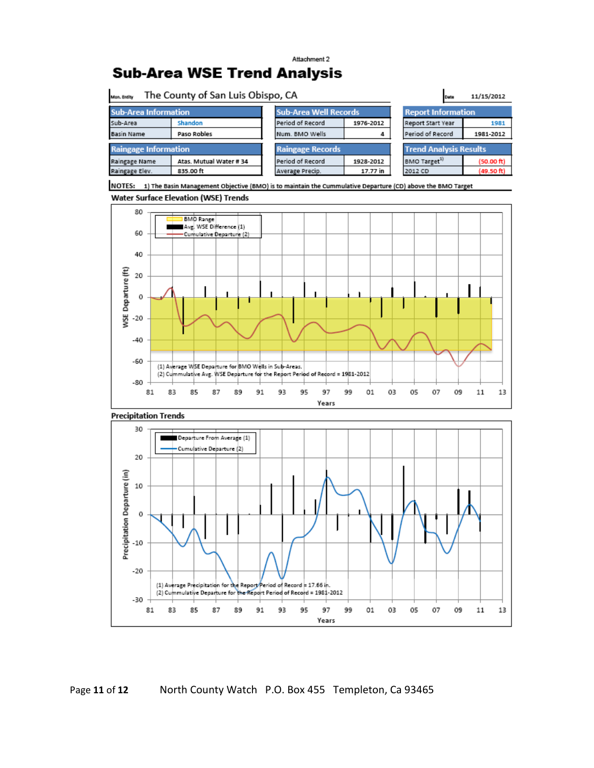## Attachment 2 **Sub-Area WSE Trend Analysis**

| Mon. Entity                             | The County of San Luis Obispo, CA | Date                         | 11/15/2012 |                               |            |  |
|-----------------------------------------|-----------------------------------|------------------------------|------------|-------------------------------|------------|--|
| <b>Sub-Area Information</b>             |                                   | <b>Sub-Area Well Records</b> |            | <b>Report Information</b>     |            |  |
| Sub-Area                                | Shandon                           | Period of Record             | 1976-2012  | <b>Report Start Year</b>      | 1981       |  |
| <b>Paso Robles</b><br><b>Basin Name</b> |                                   | Num. BMO Wells               | 4          | Period of Record              | 1981-2012  |  |
| <b>Raingage Information</b>             |                                   | <b>Raingage Records</b>      |            | <b>Trend Analysis Results</b> |            |  |
| Raingage Name                           | Atas, Mutual Water # 34           | Period of Record             | 1928-2012  | BMO Target <sup>1)</sup>      | (50.00 ft) |  |
| Raingage Elev.                          | 835.00 ft                         | Average Precip.              | 17.77 in   | 2012 CD                       | (49.50 ft) |  |
|                                         |                                   |                              |            |                               |            |  |

NOTES: 1) The Basin Management Objective (BMO) is to maintain the Cummulative Departure (CD) above the BMO Target







Page 11 of 12 North County Watch P.O. Box 455 Templeton, Ca 93465